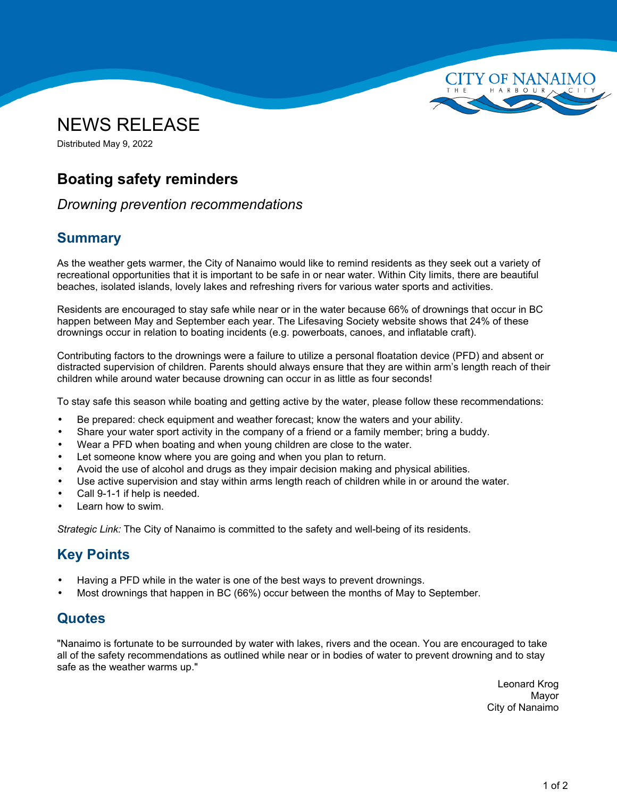



Distributed May 9, 2022

# **Boating safety reminders**

#### *Drowning prevention recommendations*

### **Summary**

As the weather gets warmer, the City of Nanaimo would like to remind residents as they seek out <sup>a</sup> variety of recreational opportunities that it is important to be safe in or near water. Within City limits, there are beautiful beaches, isolated islands, lovely lakes and refreshing rivers for various water sports and activities.

Residents are encouraged to stay safe while near or in the water because 66% of drownings that occur in BC happen between May and September each year. The Lifesaving Society website shows that 24% of these drownings occur in relation to boating incidents (e.g. powerboats, canoes, and inflatable craft).

Contributing factors to the drownings were <sup>a</sup> failure to utilize <sup>a</sup> personal floatation device (PFD) and absent or distracted supervision of children. Parents should always ensure that they are within arm's length reach of their children while around water because drowning can occur in as little as four seconds!

To stay safe this season while boating and getting active by the water, please follow these recommendations:

- •Be prepared: check equipment and weather forecast; know the waters and your ability.
- •Share your water sport activity in the company of <sup>a</sup> friend or <sup>a</sup> family member; bring <sup>a</sup> buddy.
- •Wear <sup>a</sup> PFD when boating and when young children are close to the water.
- •Let someone know where you are going and when you plan to return.
- •Avoid the use of alcohol and drugs as they impair decision making and physical abilities.
- •Use active supervision and stay within arms length reach of children while in or around the water.
- •Call 9-1-1 if help is needed.
- •Learn how to swim.

*Strategic Link:* The City of Nanaimo is committed to the safety and well-being of its residents.

## **Key Points**

- •Having <sup>a</sup> PFD while in the water is one of the best ways to prevent drownings.
- •Most drownings that happen in BC (66%) occur between the months of May to September.

#### **Quotes**

"Nanaimo is fortunate to be surrounded by water with lakes, rivers and the ocean. You are encouraged to take all of the safety recommendations as outlined while near or in bodies of water to prevent drowning and to stay safe as the weather warms up."

> Leonard Krog Mayor City of Nanaimo